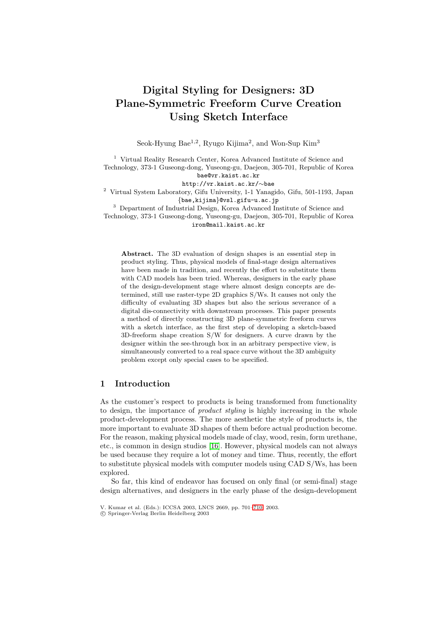# **Digital Styling for Designers: 3D Plane-Symmetric Freeform Curve Creation Using Sketch Interface**

Seok-Hyung Bae<sup>1,2</sup>, Ryugo Kijima<sup>2</sup>, and Won-Sup Kim<sup>3</sup>

<sup>1</sup> Virtual Reality Research Center, Korea Advanced Institute of Science and Technology, 373-1 Guseong-dong, Yuseong-gu, Daejeon, 305-701, Republic of Korea

bae@vr.kaist.ac.kr<br>http://vr.kaist.ac.kr/~bae

<sup>2</sup> Virtual System Laboratory, Gifu University, 1-1 Yanagido, Gifu, 501-1193, Japan  ${base, kijima}$ @vsl.gifu-u.ac.jp<br><sup>3</sup> Department of Industrial Design, Korea Advanced Institute of Science and

Technology, 373-1 Guseong-dong, Yuseong-gu, Daejeon, 305-701, Republic of Korea iron@mail.kaist.ac.kr

**Abstract.** The 3D evaluation of design shapes is an essential step in product styling. Thus, physical models of final-stage design alternatives have been made in tradition, and recently the effort to substitute them with CAD models has been tried. Whereas, designers in the early phase of the design-development stage where almost design concepts are determined, still use raster-type 2D graphics S/Ws. It causes not only the difficulty of evaluating 3D shapes but also the serious severance of a digital dis-connectivity with downstream processes. This paper presents a method of directly constructing 3D plane-symmetric freeform curves with a sketch interface, as the first step of developing a sketch-based 3D-freeform shape creation S/W for designers. A curve drawn by the designer within the see-through box in an arbitrary perspective view, is simultaneously converted to a real space curve without the 3D ambiguity problem except only special cases to be specified.

# **1 Introduction**

As the customer's respect to products is being transformed from functionality to design, the importance of *product styling* is highly increasing in the whole product-development process. The more aesthetic the style of products is, the more important to evaluate 3D shapes of them before actual production become. For the reason, making physical models made of clay, wood, resin, form urethane, etc., is common in design studios [\[16\]](#page-9-0). However, physical models can not always be used because they require a lot of money and time. Thus, recently, the effort to substitute physical models with computer models using CAD S/Ws, has been explored.

So far, this kind of endeavor has focused on only final (or semi-final) stage design alternatives, and designers in the early phase of the design-development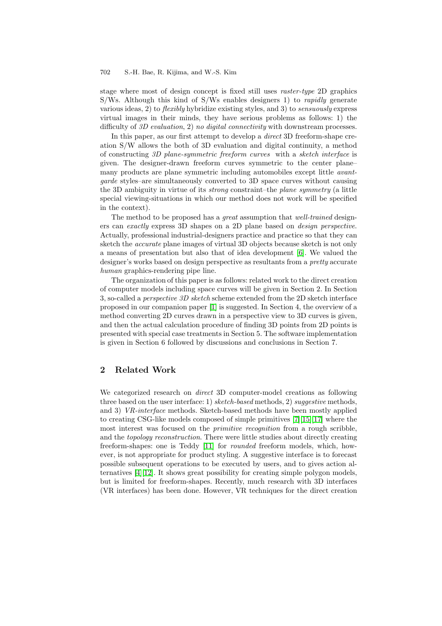stage where most of design concept is fixed still uses *raster-type* 2D graphics S/Ws. Although this kind of S/Ws enables designers 1) to *rapidly* generate various ideas, 2) to *flexibly* hybridize existing styles, and 3) to *sensuously* express virtual images in their minds, they have serious problems as follows: 1) the difficulty of *3D evaluation*, 2) *no digital connectivity* with downstream processes.

In this paper, as our first attempt to develop a *direct* 3D freeform-shape creation S/W allows the both of 3D evaluation and digital continuity, a method of constructing *3D plane-symmetric freeform curves* with a *sketch interface* is given. The designer-drawn freeform curves symmetric to the center plane– many products are plane symmetric including automobiles except little *avantgarde* styles–are simultaneously converted to 3D space curves without causing the 3D ambiguity in virtue of its *strong* constraint–the *plane symmetry* (a little special viewing-situations in which our method does not work will be specified in the context).

The method to be proposed has a *great* assumption that *well-trained* designers can *exactly* express 3D shapes on a 2D plane based on *design perspective*. Actually, professional industrial-designers practice and practice so that they can sketch the *accurate* plane images of virtual 3D objects because sketch is not only a means of presentation but also that of idea development [\[6\]](#page-8-1). We valued the designer's works based on design perspective as resultants from a *pretty* accurate *human* graphics-rendering pipe line.

The organization of this paper is as follows: related work to the direct creation of computer models including space curves will be given in Section 2. In Section 3, so-called a *perspective 3D sketch* scheme extended from the 2D sketch interface proposed in our companion paper [\[1\]](#page-8-2) is suggested. In Section 4, the overview of a method converting 2D curves drawn in a perspective view to 3D curves is given, and then the actual calculation procedure of finding 3D points from 2D points is presented with special case treatments in Section 5. The software implementation is given in Section 6 followed by discussions and conclusions in Section 7.

# **2 Related Work**

We categorized research on *direct* 3D computer-model creations as following three based on the user interface: 1) *sketch-based* methods, 2) *suggestive* methods, and 3) *VR-interface* methods. Sketch-based methods have been mostly applied to creating CSG-like models composed of simple primitives [\[7\]](#page-8-3)[\[15\]](#page-9-1)[\[17\]](#page-9-2) where the most interest was focused on the *primitive recognition* from a rough scribble, and the *topology reconstruction*. There were little studies about directly creating freeform-shapes: one is Teddy [\[11\]](#page-9-3) for *rounded* freeform models, which, however, is not appropriate for product styling. A suggestive interface is to forecast possible subsequent operations to be executed by users, and to gives action alternatives [\[4\]](#page-8-4)[\[12\]](#page-9-4). It shows great possibility for creating simple polygon models, but is limited for freeform-shapes. Recently, much research with 3D interfaces (VR interfaces) has been done. However, VR techniques for the direct creation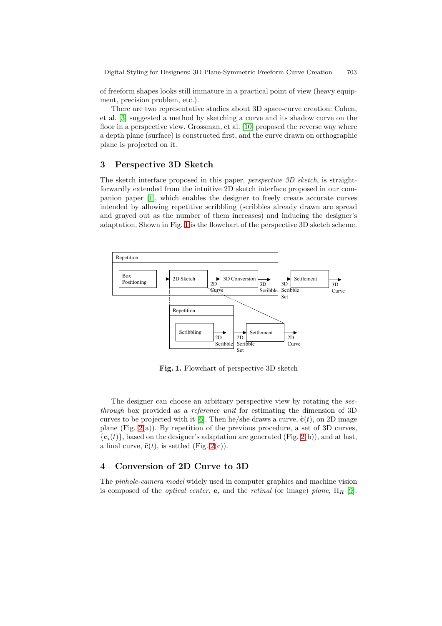of freeform shapes looks still immature in a practical point of view (heavy equipment, precision problem, etc.).

There are two representative studies about 3D space-curve creation: Cohen, et al. [\[3\]](#page-8-5) suggested a method by sketching a curve and its shadow curve on the floor in a perspective view. Grossman, et al. [\[10\]](#page-9-5) proposed the reverse way where a depth plane (surface) is constructed first, and the curve drawn on orthographic plane is projected on it.

### **3 Perspective 3D Sketch**

The sketch interface proposed in this paper, *perspective 3D sketch*, is straightforwardly extended from the intuitive 2D sketch interface proposed in our companion paper [\[1\]](#page-8-2), which enables the designer to freely create accurate curves intended by allowing repetitive scribbling (scribbles already drawn are spread and grayed out as the number of them increases) and inducing the designer's adaptation. Shown in Fig. [1](#page-2-0) is the flowchart of the perspective 3D sketch scheme.



<span id="page-2-0"></span>**Fig. 1.** Flowchart of perspective 3D sketch

The designer can choose an arbitrary perspective view by rotating the *seethrough* box provided as a *reference unit* for estimating the dimension of 3D curves to be projected with it [\[6\]](#page-8-1). Then he/she draws a curve,  $\tilde{\mathbf{c}}(t)$ , on 2D image plane (Fig. [2\(](#page-3-0)a)). By repetition of the previous procedure, a set of 3D curves,  ${c_i(t)}$ , based on the designer's adaptation are generated (Fig. [2\(](#page-3-0)b)), and at last, a final curve,  $\bar{\mathbf{c}}(t)$ , is settled (Fig. [2\(](#page-3-0)c)).

### **4 Conversion of 2D Curve to 3D**

The *pinhole-camera model* widely used in computer graphics and machine vision is composed of the *optical center*, **e**, and the *retinal* (or image) *plane*, Π*<sup>R</sup>* [\[9\]](#page-9-6).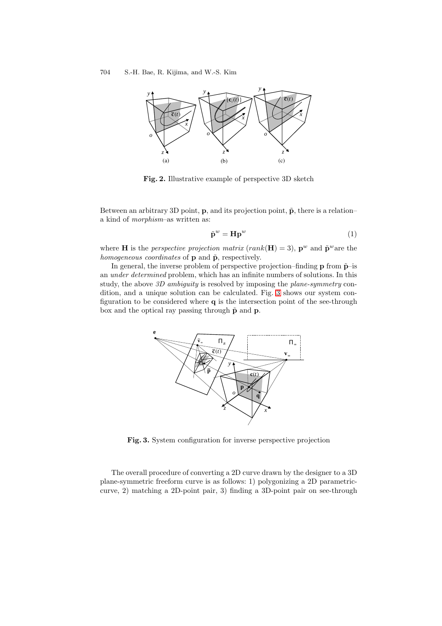

<span id="page-3-0"></span>**Fig. 2.** Illustrative example of perspective 3D sketch

Between an arbitrary 3D point, **p**, and its projection point,  $\tilde{p}$ , there is a relation– a kind of *morphism*–as written as:

$$
\tilde{\mathbf{p}}^w = \mathbf{H}\mathbf{p}^w \tag{1}
$$

where **H** is the *perspective projection matrix* (rank( $\mathbf{H}$ ) = 3),  $\mathbf{p}^w$  and  $\tilde{\mathbf{p}}^w$  are the *homogeneous coordinates* of **p** and  $\tilde{p}$ , respectively.

In general, the inverse problem of perspective projection–finding  $\bf{p}$  from  $\tilde{\bf{p}}$ –is an *under determined* problem, which has an infinite numbers of solutions. In this study, the above *3D ambiguity* is resolved by imposing the *plane-symmetry* condition, and a unique solution can be calculated. Fig. [3](#page-3-1) shows our system configuration to be considered where **q** is the intersection point of the see-through box and the optical ray passing through  $\tilde{p}$  and  $p$ .



**Fig. 3.** System configuration for inverse perspective projection

<span id="page-3-1"></span>The overall procedure of converting a 2D curve drawn by the designer to a 3D plane-symmetric freeform curve is as follows: 1) polygonizing a 2D parametriccurve, 2) matching a 2D-point pair, 3) finding a 3D-point pair on see-through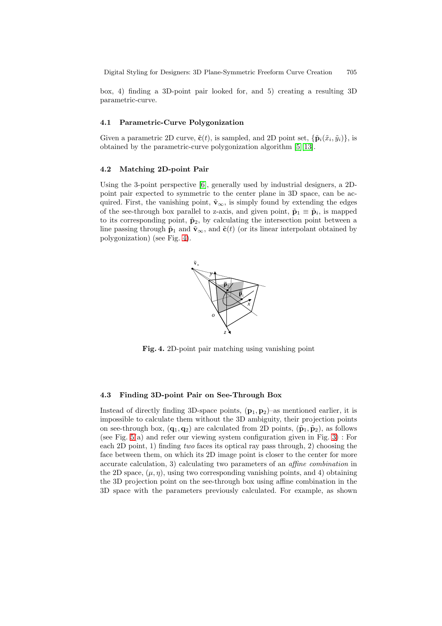box, 4) finding a 3D-point pair looked for, and 5) creating a resulting 3D parametric-curve.

#### **4.1 Parametric-Curve Polygonization**

Given a parametric 2D curve,  $\tilde{\mathbf{c}}(t)$ , is sampled, and 2D point set,  $\{\tilde{\mathbf{p}}_i(\tilde{x}_i, \tilde{y}_i)\}\)$ , is obtained by the parametric-curve polygonization algorithm [\[5\]](#page-8-6)[\[13\]](#page-9-7).

#### **4.2 Matching 2D-point Pair**

Using the 3-point perspective [\[6\]](#page-8-1), generally used by industrial designers, a 2Dpoint pair expected to symmetric to the center plane in 3D space, can be acquired. First, the vanishing point,  $\tilde{\mathbf{v}}_{\infty}$ , is simply found by extending the edges of the see-through box parallel to z-axis, and given point,  $\tilde{\mathbf{p}}_1 \equiv \tilde{\mathbf{p}}_i$ , is mapped to its corresponding point,  $\tilde{p}_2$ , by calculating the intersection point between a line passing through  $\tilde{\mathbf{p}}_1$  and  $\tilde{\mathbf{v}}_{\infty}$ , and  $\tilde{\mathbf{c}}(t)$  (or its linear interpolant obtained by polygonization) (see Fig. [4\)](#page-4-0).



<span id="page-4-0"></span>**Fig. 4.** 2D-point pair matching using vanishing point

#### **4.3 Finding 3D-point Pair on See-Through Box**

Instead of directly finding 3D-space points,  $(\mathbf{p}_1, \mathbf{p}_2)$ –as mentioned earlier, it is impossible to calculate them without the 3D ambiguity, their projection points on see-through box,  $(\mathbf{q}_1, \mathbf{q}_2)$  are calculated from 2D points,  $(\tilde{\mathbf{p}}_1, \tilde{\mathbf{p}}_2)$ , as follows (see Fig.  $5(a)$  and refer our viewing system configuration given in Fig. [3\)](#page-3-1) : For each 2D point, 1) finding *two* faces its optical ray pass through, 2) choosing the face between them, on which its 2D image point is closer to the center for more accurate calculation, 3) calculating two parameters of an *affine combination* in the 2D space,  $(\mu, \eta)$ , using two corresponding vanishing points, and 4) obtaining the 3D projection point on the see-through box using affine combination in the 3D space with the parameters previously calculated. For example, as shown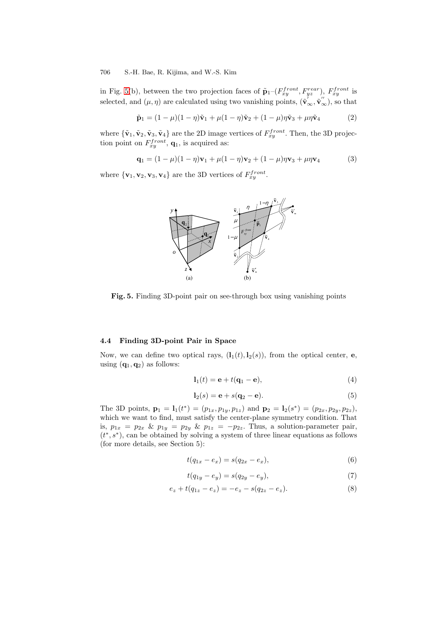in Fig. [5\(](#page-5-0)b), between the two projection faces of  $\tilde{\mathbf{p}}_1$ – $(F_{xy}^{front}, F_{yz}^{rear})$ ,  $F_{xy}^{front}$  is selected, and  $(\mu, \eta)$  are calculated using two vanishing points,  $(\tilde{\mathbf{v}}'_{\infty}, \tilde{\mathbf{v}}''_{\infty})$ , so that

$$
\tilde{\mathbf{p}}_1 = (1 - \mu)(1 - \eta)\tilde{\mathbf{v}}_1 + \mu(1 - \eta)\tilde{\mathbf{v}}_2 + (1 - \mu)\eta\tilde{\mathbf{v}}_3 + \mu\eta\tilde{\mathbf{v}}_4 \tag{2}
$$

where  ${\tilde{\mathbf{v}}_1, \tilde{\mathbf{v}}_2, \tilde{\mathbf{v}}_3, \tilde{\mathbf{v}}_4}$  are the 2D image vertices of  $F_{xy}^{front}$ . Then, the 3D projection point on  $F_{xy}^{front}$ ,  $\mathbf{q}_1$ , is acquired as:

$$
\mathbf{q}_1 = (1 - \mu)(1 - \eta)\mathbf{v}_1 + \mu(1 - \eta)\mathbf{v}_2 + (1 - \mu)\eta\mathbf{v}_3 + \mu\eta\mathbf{v}_4 \tag{3}
$$

where  ${\mathbf{v}_1, \mathbf{v}_2, \mathbf{v}_3, \mathbf{v}_4}$  are the 3D vertices of  $F_{xy}^{front}$ .



<span id="page-5-0"></span>**Fig. 5.** Finding 3D-point pair on see-through box using vanishing points

#### **4.4 Finding 3D-point Pair in Space**

Now, we can define two optical rays,  $(1_1(t), 1_2(s))$ , from the optical center, **e**, using  $(\mathbf{q}_1, \mathbf{q}_2)$  as follows:

$$
\mathbf{l}_1(t) = \mathbf{e} + t(\mathbf{q}_1 - \mathbf{e}),\tag{4}
$$

$$
\mathbf{l}_2(s) = \mathbf{e} + s(\mathbf{q}_2 - \mathbf{e}).\tag{5}
$$

The 3D points,  $\mathbf{p}_1 = \mathbf{l}_1(t^*) = (p_{1x}, p_{1y}, p_{1z})$  and  $\mathbf{p}_2 = \mathbf{l}_2(s^*) = (p_{2x}, p_{2y}, p_{2z})$ , which we want to find, must satisfy the center-plane symmetry condition. That is,  $p_{1x} = p_{2x} \& p_{1y} = p_{2y} \& p_{1z} = -p_{2z}$ . Thus, a solution-parameter pair,  $(t^*, s^*)$ , can be obtained by solving a system of three linear equations as follows (for more details, see Section 5):

$$
t(q_{1x} - e_x) = s(q_{2x} - e_x),
$$
\n(6)

$$
t(q_{1y} - e_y) = s(q_{2y} - e_y),
$$
\n(7)

<span id="page-5-3"></span><span id="page-5-2"></span><span id="page-5-1"></span>
$$
e_z + t(q_{1z} - e_z) = -e_z - s(q_{2z} - e_z).
$$
 (8)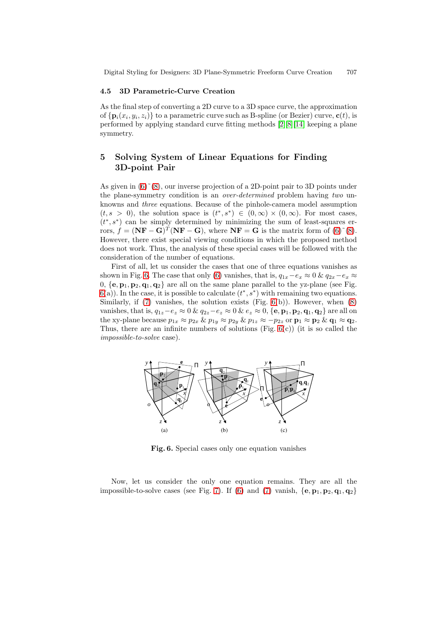#### **4.5 3D Parametric-Curve Creation**

As the final step of converting a 2D curve to a 3D space curve, the approximation of  ${\bf p}_i(x_i, y_i, z_i)$  to a parametric curve such as B-spline (or Bezier) curve,  ${\bf c}(t)$ , is performed by applying standard curve fitting methods [\[2\]](#page-8-7)[\[8\]](#page-8-8)[\[14\]](#page-9-8) keeping a plane symmetry.

# **5 Solving System of Linear Equations for Finding 3D-point Pair**

As given in  $(6)^\sim(8)$  $(6)^\sim(8)$  $(6)^\sim(8)$ , our inverse projection of a 2D-point pair to 3D points under the plane-symmetry condition is an *over-determined* problem having *two* unknowns and *three* equations. Because of the pinhole-camera model assumption  $(t, s > 0)$ , the solution space is  $(t^*, s^*) \in (0, \infty) \times (0, \infty)$ . For most cases,  $(t^*, s^*)$  can be simply determined by minimizing the sum of least-squares errors,  $f = (\mathbf{N}\mathbf{F} - \mathbf{G})^T(\mathbf{N}\mathbf{F} - \mathbf{G})$ , where  $\mathbf{N}\mathbf{F} = \mathbf{G}$  is the matrix form of [\(6\)](#page-5-1)<sup> $\infty$ </sup>[\(8\)](#page-5-2). However, there exist special viewing conditions in which the proposed method does not work. Thus, the analysis of these special cases will be followed with the consideration of the number of equations.

First of all, let us consider the cases that one of three equations vanishes as shown in Fig. [6.](#page-6-0) The case that only [\(6\)](#page-5-1) vanishes, that is,  $q_{1x}-e_x \approx 0$  &  $q_{2x}-e_x \approx$ 0,  $\{e, p_1, p_2, q_1, q_2\}$  are all on the same plane parallel to the yz-plane (see Fig.  $(6(a))$  $(6(a))$  $(6(a))$ . In the case, it is possible to calculate  $(t^*, s^*)$  with remaining two equations. Similarly, if  $(7)$  vanishes, the solution exists  $(Fig. 6(b))$  $(Fig. 6(b))$  $(Fig. 6(b))$ . However, when  $(8)$ vanishes, that is,  $q_{1z}-e_z \approx 0$  &  $q_{2z}-e_z \approx 0$  &  $e_z \approx 0$ ,  $\{e, \mathbf{p}_1, \mathbf{p}_2, \mathbf{q}_1, \mathbf{q}_2\}$  are all on the xy-plane because  $p_{1x} \approx p_{2x} \& p_{1y} \approx p_{2y} \& p_{1z} \approx -p_{2z}$  or  $\mathbf{p}_1 \approx \mathbf{p}_2 \& \mathbf{q}_1 \approx \mathbf{q}_2$ . Thus, there are an infinite numbers of solutions (Fig.  $6(c)$ ) (it is so called the *impossible-to-solve* case).



<span id="page-6-0"></span>**Fig. 6.** Special cases only one equation vanishes

Now, let us consider the only one equation remains. They are all the impossible-to-solve cases (see Fig. [7\)](#page-7-0). If [\(6\)](#page-5-1) and [\(7\)](#page-5-3) vanish,  $\{e, \mathbf{p}_1, \mathbf{p}_2, \mathbf{q}_1, \mathbf{q}_2\}$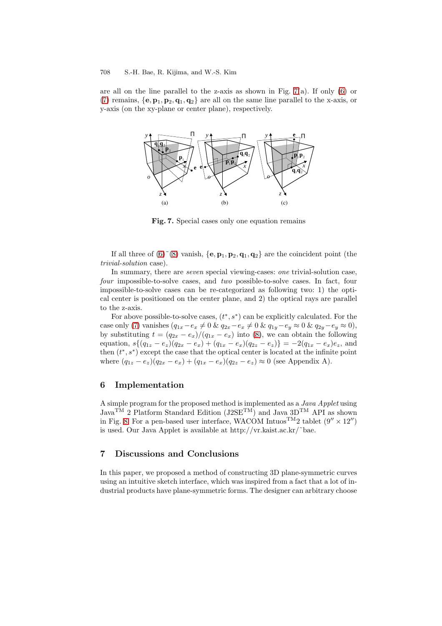are all on the line parallel to the z-axis as shown in Fig.  $7(a)$ . If only  $(6)$  or [\(7\)](#page-5-3) remains,  $\{e, p_1, p_2, q_1, q_2\}$  are all on the same line parallel to the x-axis, or y-axis (on the xy-plane or center plane), respectively.



<span id="page-7-0"></span>**Fig. 7.** Special cases only one equation remains

If all three of  $(6)^\sim (8)$  $(6)^\sim (8)$  $(6)^\sim (8)$  vanish,  $\{e, \mathbf{p}_1, \mathbf{p}_2, \mathbf{q}_1, \mathbf{q}_2\}$  are the coincident point (the *trivial-solution* case).

In summary, there are *seven* special viewing-cases: *one* trivial-solution case, *four* impossible-to-solve cases, and *two* possible-to-solve cases. In fact, four impossible-to-solve cases can be re-categorized as following two: 1) the optical center is positioned on the center plane, and 2) the optical rays are parallel to the z-axis.

For above possible-to-solve cases,  $(t^*, s^*)$  can be explicitly calculated. For the case only [\(7\)](#page-5-3) vanishes  $(q_{1x}-e_x \neq 0 \& q_{2x}-e_x \neq 0 \& q_{1y}-e_y \approx 0 \& q_{2y}-e_y \approx 0)$ , by substituting  $t = (q_{2x} - e_x)/(q_{1x} - e_x)$  into [\(8\)](#page-5-2), we can obtain the following equation,  $s\{(q_{1z} - e_z)(q_{2x} - e_x) + (q_{1x} - e_x)(q_{2z} - e_z)\} = -2(q_{1x} - e_x)e_z$ , and then  $(t^*, s^*)$  except the case that the optical center is located at the infinite point where  $(q_{1z} - e_z)(q_{2x} - e_x) + (q_{1x} - e_x)(q_{2z} - e_z) \approx 0$  (see Appendix A).

## **6 Implementation**

A simple program for the proposed method is implemented as a *Java Applet* using Java<sup>TM</sup> 2 Platform Standard Edition (J2SE<sup>TM</sup>) and Java 3D<sup>TM</sup> API as shown in Fig. [8.](#page-8-9) For a pen-based user interface, WACOM  $\rm Intuos^{TM2}$  tablet  $(9^{\prime\prime}\times12^{\prime\prime})$ is used. Our Java Applet is available at http://vr.kaist.ac.kr/˜bae.

# **7 Discussions and Conclusions**

In this paper, we proposed a method of constructing 3D plane-symmetric curves using an intuitive sketch interface, which was inspired from a fact that a lot of industrial products have plane-symmetric forms. The designer can arbitrary choose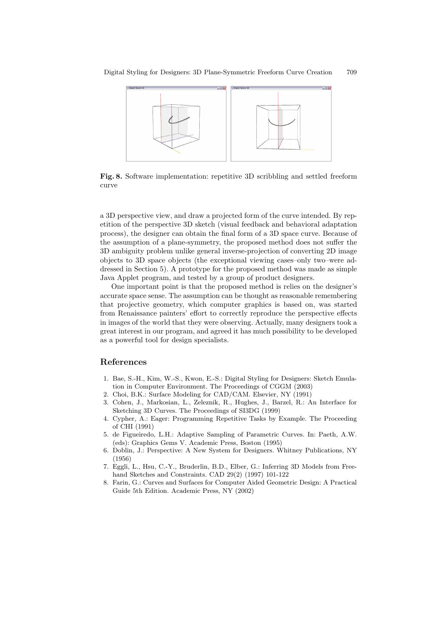<span id="page-8-0"></span>

<span id="page-8-9"></span>**Fig. 8.** Software implementation: repetitive 3D scribbling and settled freeform curve

a 3D perspective view, and draw a projected form of the curve intended. By repetition of the perspective 3D sketch (visual feedback and behavioral adaptation process), the designer can obtain the final form of a 3D space curve. Because of the assumption of a plane-symmetry, the proposed method does not suffer the 3D ambiguity problem unlike general inverse-projection of converting 2D image objects to 3D space objects (the exceptional viewing cases–only two–were addressed in Section 5). A prototype for the proposed method was made as simple Java Applet program, and tested by a group of product designers.

One important point is that the proposed method is relies on the designer's accurate space sense. The assumption can be thought as reasonable remembering that projective geometry, which computer graphics is based on, was started from Renaissance painters' effort to correctly reproduce the perspective effects in images of the world that they were observing. Actually, many designers took a great interest in our program, and agreed it has much possibility to be developed as a powerful tool for design specialists.

### <span id="page-8-2"></span>**References**

- 1. Bae, S.-H., Kim, W.-S., Kwon, E.-S.: Digital Styling for Designers: Sketch Emulation in Computer Environment. The Proceedings of CGGM (2003)
- <span id="page-8-7"></span><span id="page-8-5"></span>2. Choi, B.K.: Surface Modeling for CAD/CAM. Elsevier, NY (1991)
- 3. Cohen, J., Markosian, L., Zeleznik, R., Hughes, J., Barzel, R.: An Interface for Sketching 3D Curves. The Proceedings of SI3DG (1999)
- <span id="page-8-4"></span>4. Cypher, A.: Eager: Programming Repetitive Tasks by Example. The Proceeding of CHI (1991)
- <span id="page-8-6"></span>5. de Figueiredo, L.H.: Adaptive Sampling of Parametric Curves. In: Paeth, A.W. (eds): Graphics Gems V. Academic Press, Boston (1995)
- <span id="page-8-1"></span>6. Doblin, J.: Perspective: A New System for Designers. Whitney Publications, NY (1956)
- <span id="page-8-3"></span>7. Eggli, L., Hsu, C.-Y., Bruderlin, B.D., Elber, G.: Inferring 3D Models from Freehand Sketches and Constraints. CAD 29(2) (1997) 101-122
- <span id="page-8-8"></span>8. Farin, G.: Curves and Surfaces for Computer Aided Geometric Design: A Practical Guide 5th Edition. Academic Press, NY (2002)